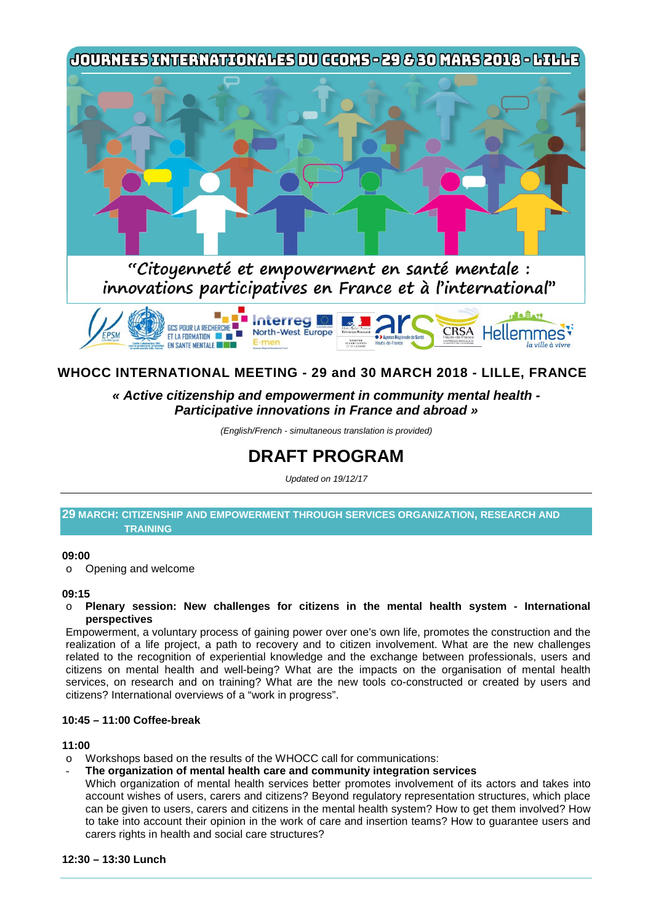

# **WHOCC INTERNATIONAL MEETING - 29 and 30 MARCH 2018 - LILLE, FRANCE**

# *« Active citizenship and empowerment in community mental health - Participative innovations in France and abroad »*

*(English/French - simultaneous translation is provided)*

# **DRAFT PROGRAM**

*Updated on 19/12/17*

#### **29 MARCH: CITIZENSHIP AND EMPOWERMENT THROUGH SERVICES ORGANIZATION, RESEARCH AND TRAINING**

#### **09:00**

o Opening and welcome

#### **09:15**

o **Plenary session: New challenges for citizens in the mental health system - International perspectives**

Empowerment, a voluntary process of gaining power over one's own life, promotes the construction and the realization of a life project, a path to recovery and to citizen involvement. What are the new challenges related to the recognition of experiential knowledge and the exchange between professionals, users and citizens on mental health and well-being? What are the impacts on the organisation of mental health services, on research and on training? What are the new tools co-constructed or created by users and citizens? International overviews of a "work in progress".

#### **10:45 – 11:00 Coffee-break**

#### **11:00**

- o Workshops based on the results of the WHOCC call for communications:
- **The organization of mental health care and community integration services**

Which organization of mental health services better promotes involvement of its actors and takes into account wishes of users, carers and citizens? Beyond regulatory representation structures, which place can be given to users, carers and citizens in the mental health system? How to get them involved? How to take into account their opinion in the work of care and insertion teams? How to guarantee users and carers rights in health and social care structures?

#### **12:30 – 13:30 Lunch**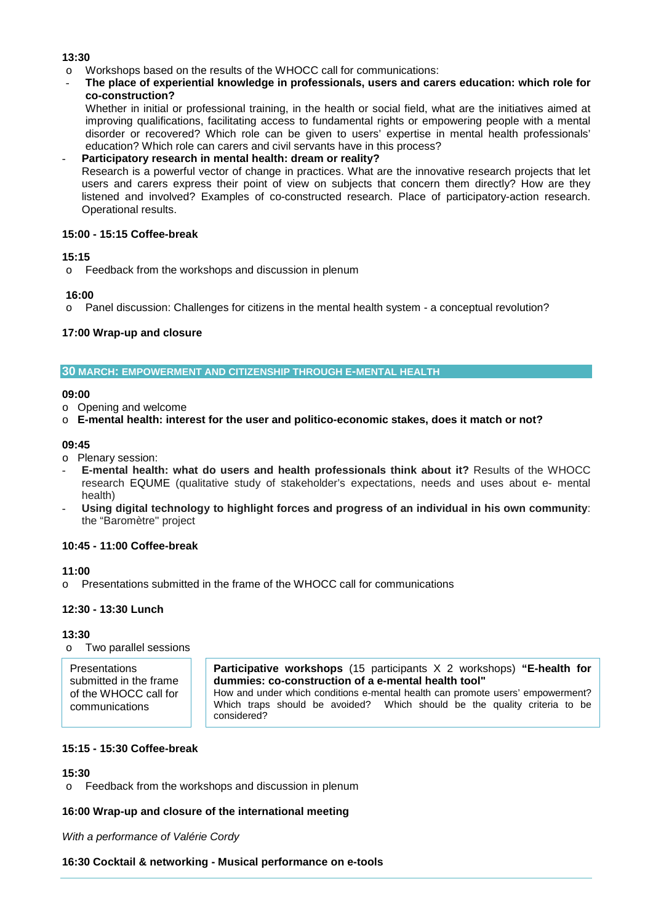#### **13:30**

- o Workshops based on the results of the WHOCC call for communications:
- **The place of experiential knowledge in professionals, users and carers education: which role for co-construction?**

Whether in initial or professional training, in the health or social field, what are the initiatives aimed at improving qualifications, facilitating access to fundamental rights or empowering people with a mental disorder or recovered? Which role can be given to users' expertise in mental health professionals' education? Which role can carers and civil servants have in this process?

- **Participatory research in mental health: dream or reality?** Research is a powerful vector of change in practices. What are the innovative research projects that let users and carers express their point of view on subjects that concern them directly? How are they listened and involved? Examples of co-constructed research. Place of participatory-action research. Operational results.

#### **15:00 - 15:15 Coffee-break**

#### **15:15**

o Feedback from the workshops and discussion in plenum

#### **16:00**

o Panel discussion: Challenges for citizens in the mental health system - a conceptual revolution?

## **17:00 Wrap-up and closure**

#### **30 MARCH: EMPOWERMENT AND CITIZENSHIP THROUGH E-MENTAL HEALTH**

#### **09:00**

o Opening and welcome

#### o **E-mental health: interest for the user and politico-economic stakes, does it match or not?**

#### **09:45**

- o Plenary session:
- **E-mental health: what do users and health professionals think about it?** Results of the WHOCC research EQUME (qualitative study of stakeholder's expectations, needs and uses about e- mental health)
- **Using digital technology to highlight forces and progress of an individual in his own community**: the "Baromètre'' project

## **10:45 - 11:00 Coffee-break**

## **11:00**

o Presentations submitted in the frame of the WHOCC call for communications

## **12:30 - 13:30 Lunch**

#### **13:30**

o Two parallel sessions

| <b>Presentations</b>   | <b>Participative workshops</b> (15 participants X 2 workshops) "E-health for   |
|------------------------|--------------------------------------------------------------------------------|
| submitted in the frame | dummies: co-construction of a e-mental health tool"                            |
| of the WHOCC call for  | How and under which conditions e-mental health can promote users' empowerment? |
| communications         | Which traps should be avoided? Which should be the quality criteria to be      |
|                        | considered?                                                                    |

#### **15:15 - 15:30 Coffee-break**

#### **15:30**

o Feedback from the workshops and discussion in plenum

## **16:00 Wrap-up and closure of the international meeting**

*With a performance of Valérie Cordy*

#### **16:30 Cocktail & networking - Musical performance on e-tools**